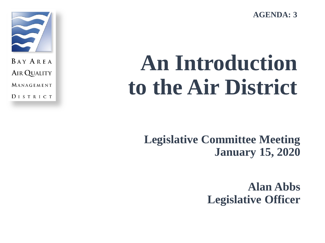**AGENDA: 3**



**BAY AREA AIR QUALITY** MANAGEMENT **DISTRICT** 

# **An Introduction to the Air District**

**Legislative Committee Meeting January 15, 2020**

> **Alan Abbs Legislative Officer**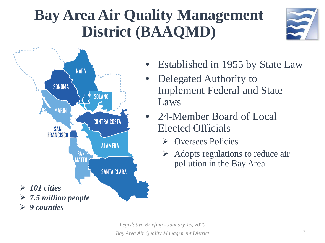## **Bay Area Air Quality Management District (BAAQMD)**





- Established in 1955 by State Law
- Delegated Authority to Implement Federal and State Laws
- 24-Member Board of Local Elected Officials
	- **►** Oversees Policies
	- Adopts regulations to reduce air pollution in the Bay Area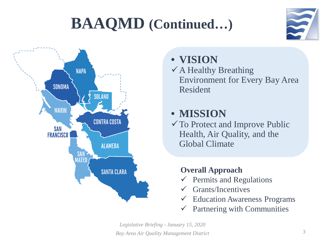## **BAAQMD (Continued…)**





### • **VISION**

 $\checkmark$  A Healthy Breathing Environment for Every Bay Area Resident

## • **MISSION**

To Protect and Improve Public Health, Air Quality, and the Global Climate

### **Overall Approach**

- $\checkmark$  Permits and Regulations
- Grants/Incentives
- $\checkmark$  Education Awareness Programs
- $\checkmark$  Partnering with Communities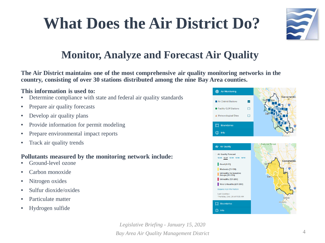## **What Does the Air District Do?**



### **Monitor, Analyze and Forecast Air Quality**

**The Air District maintains one of the most comprehensive air quality monitoring networks in the country, consisting of over 30 stations distributed among the nine Bay Area counties.**

#### **This information is used to:**

- Determine compliance with state and federal air quality standards
- Prepare air quality forecasts
- Develop air quality plans
- Provide information for permit modeling
- Prepare environmental impact reports
- Track air quality trends

#### **Pollutants measured by the monitoring network include:**

- Ground-level ozone
- Carbon monoxide
- Nitrogen oxides
- Sulfur dioxide/oxides
- Particulate matter
- Hydrogen sulfide

6 Air Monitoring **Air District Stations**  $\mathbf v$ **Eacility GLM Stations**  $\Box$ A Meteorological Sites  $\Box$ **i** Boundaries  $(i)$  Info

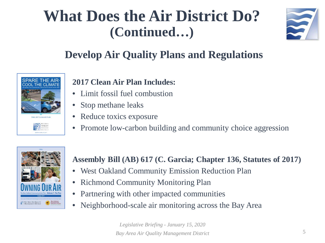

### **Develop Air Quality Plans and Regulations**



### **2017 Clean Air Plan Includes:**

- Limit fossil fuel combustion
- Stop methane leaks
- Reduce toxics exposure
- Promote low-carbon building and community choice aggression



### **Assembly Bill (AB) 617 (C. Garcia; Chapter 136, Statutes of 2017)**

- West Oakland Community Emission Reduction Plan
- Richmond Community Monitoring Plan
- Partnering with other impacted communities
- Neighborhood-scale air monitoring across the Bay Area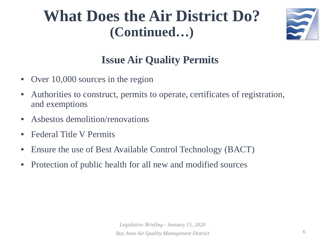

### **Issue Air Quality Permits**

- Over 10,000 sources in the region
- Authorities to construct, permits to operate, certificates of registration, and exemptions
- Asbestos demolition/renovations
- Federal Title V Permits
- Ensure the use of Best Available Control Technology (BACT)
- Protection of public health for all new and modified sources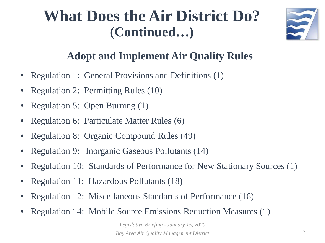

### **Adopt and Implement Air Quality Rules**

- Regulation 1: General Provisions and Definitions (1)
- Regulation 2: Permitting Rules (10)
- Regulation 5: Open Burning (1)
- Regulation 6: Particulate Matter Rules (6)
- Regulation 8: Organic Compound Rules (49)
- Regulation 9: Inorganic Gaseous Pollutants (14)
- Regulation 10: Standards of Performance for New Stationary Sources (1)
- Regulation 11: Hazardous Pollutants (18)
- Regulation 12: Miscellaneous Standards of Performance (16)
- Regulation 14: Mobile Source Emissions Reduction Measures (1)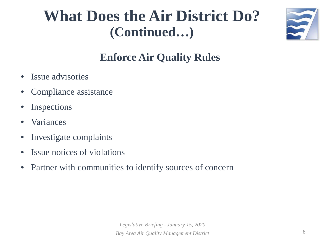

### **Enforce Air Quality Rules**

- Issue advisories
- Compliance assistance
- **Inspections**
- **Variances**
- Investigate complaints
- Issue notices of violations
- Partner with communities to identify sources of concern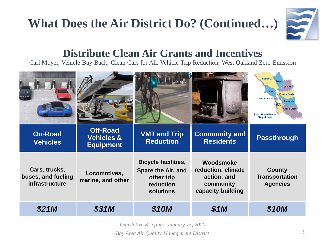

### **Distribute Clean Air Grants and Incentives**

Carl Moyer, Vehicle Buy-Back, Clean Cars for All, Vehicle Trip Reduction, West Oakland Zero-Emission

|                                                       |                                                              |                                                                                          |                                                                                  | <b>Sonoma</b><br><b>Solano</b><br><b>Contra Costa</b><br><b>San Francisco</b><br><b>Alameda</b><br>San<br>Mateo<br><b>Santa Clara</b><br><b>San Francisco</b><br><b>Bay Area</b> |
|-------------------------------------------------------|--------------------------------------------------------------|------------------------------------------------------------------------------------------|----------------------------------------------------------------------------------|----------------------------------------------------------------------------------------------------------------------------------------------------------------------------------|
| <b>On-Road</b><br><b>Vehicles</b>                     | <b>Off-Road</b><br><b>Vehicles &amp;</b><br><b>Equipment</b> | <b>VMT and Trip</b><br><b>Reduction</b>                                                  | <b>Community and</b><br><b>Residents</b>                                         | <b>Passthrough</b>                                                                                                                                                               |
| Cars, trucks,<br>buses, and fueling<br>infrastructure | Locomotives,<br>marine, and other                            | <b>Bicycle facilities,</b><br>Spare the Air, and<br>other trip<br>reduction<br>solutions | Woodsmoke<br>reduction, climate<br>action, and<br>community<br>capacity building | County<br><b>Transportation</b><br><b>Agencies</b>                                                                                                                               |
| \$21M                                                 | <b>\$31M</b>                                                 | \$10M                                                                                    | \$1M                                                                             | \$10M                                                                                                                                                                            |

*Legislative Briefing - January 15, 2020*

*Bay Area Air Quality Management District*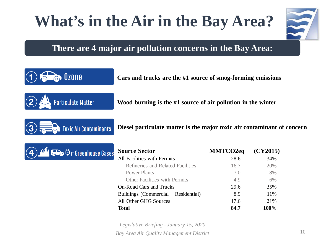## **What's in the Air in the Bay Area?**



#### **There are 4 major air pollution concerns in the Bay Area:**



**o** Ozone

**Toxic Air Contaminants** 

**Cars and trucks are the #1 source of smog-forming emissions**

**Wood burning is the #1 source of air pollution in the winter**



**Diesel particulate matter is the major toxic air contaminant of concern**

| <b>Source Sector</b>                   | <b>MMTCO2eq</b> | (CY2015) |
|----------------------------------------|-----------------|----------|
| All Facilities with Permits            | 28.6            | 34%      |
| Refineries and Related Facilities      | 16.7            | 20%      |
| <b>Power Plants</b>                    | 7.0             | 8%       |
| Other Facilities with Permits          | 4.9             | 6%       |
| <b>On-Road Cars and Trucks</b>         | 29.6            | 35%      |
| Buildings (Commercial $+$ Residential) | 8.9             | 11%      |
| All Other GHG Sources                  | 17.6            | 21%      |
| <b>Total</b>                           | 84.7            | 100%     |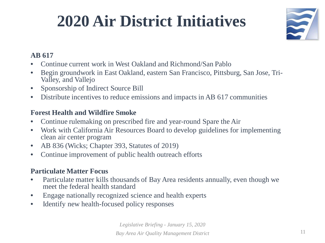## **2020 Air District Initiatives**



#### **AB 617**

- Continue current work in West Oakland and Richmond/San Pablo
- Begin groundwork in East Oakland, eastern San Francisco, Pittsburg, San Jose, Tri- Valley, and Vallejo
- Sponsorship of Indirect Source Bill
- Distribute incentives to reduce emissions and impacts in AB 617 communities

#### **Forest Health and Wildfire Smoke**

- Continue rulemaking on prescribed fire and year-round Spare the Air
- Work with California Air Resources Board to develop guidelines for implementing clean air center program
- AB 836 (Wicks; Chapter 393, Statutes of 2019)
- Continue improvement of public health outreach efforts

#### **Particulate Matter Focus**

- Particulate matter kills thousands of Bay Area residents annually, even though we meet the federal health standard
- Engage nationally recognized science and health experts
- Identify new health-focused policy responses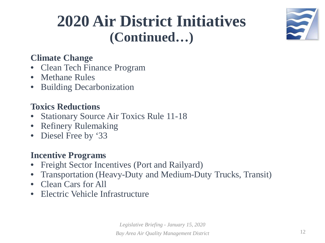## **2020 Air District Initiatives (Continued…)**



### **Climate Change**

- Clean Tech Finance Program
- Methane Rules
- Building Decarbonization

### **Toxics Reductions**

- Stationary Source Air Toxics Rule 11-18
- Refinery Rulemaking
- Diesel Free by '33

### **Incentive Programs**

- Freight Sector Incentives (Port and Railyard)
- Transportation (Heavy-Duty and Medium-Duty Trucks, Transit)
- Clean Cars for All
- Electric Vehicle Infrastructure